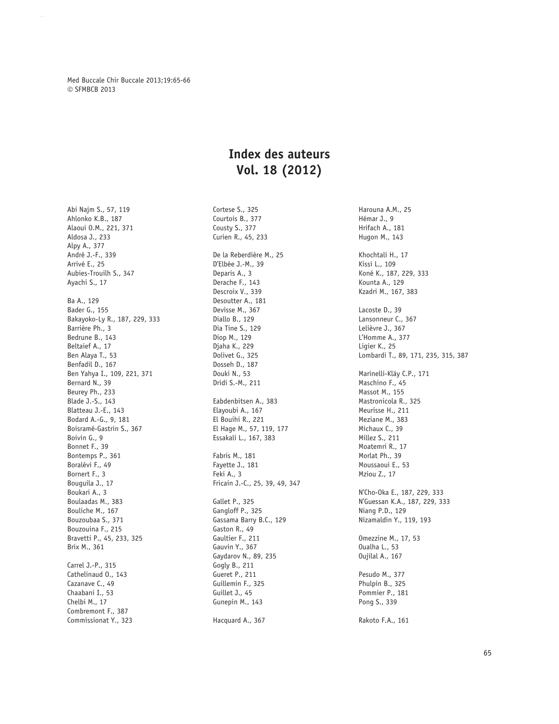Med Buccale Chir Buccale 2013;19:65-66 © SFMBCB 2013

## **Index des auteurs Vol. 18 (2012)**

Abi Najm S., 57, 119 Ahlonko K.B., 187 Alaoui O.M., 221, 371 Aldosa J., 233 Alpy A., 377 André J.-F., 339 Arrivé E., 25 Aubies-Trouilh S., 347 Ayachi S., 17 Ba A., 129 Bader G., 155 Bakayoko-Ly R., 187, 229, 333 Barrière Ph., 3 Bedrune B., 143 Beltaief A., 17 Ben Alaya T., 53 Benfadil D., 167 Ben Yahya I., 109, 221, 371 Bernard N., 39 Beurey Ph., 233 Blade J.-S., 143 Blatteau J.-E., 143 Bodard A.-G., 9, 181 Boisramé-Gastrin S., 367 Boivin G., 9 Bonnet F., 39 Bontemps P., 361 Boralévi F., 49 Bornert F., 3 Bouguila J., 17 Boukari A., 3 Boulaadas M., 383 Bouliche M., 167 Bouzoubaa S., 371 Bouzouina F., 215 Bravetti P., 45, 233, 325 Brix M., 361 Carrel J.-P., 315 Cathelinaud O., 143 Cazanave C., 49 Chaabani I., 53 Chelbi M., 17 Combremont F., 387 Commissionat Y., 323

Cortese S., 325 Courtois B., 377 Cousty S., 377 Curien R., 45, 233 De la Reberdière M., 25 D'Elbée J.-M., 39 Deparis A., 3 Derache F., 143 Descroix V., 339 Desoutter A., 181 Devisse M., 367 Diallo B., 129 Dia Tine S., 129 Diop M., 129 Djaha K., 229 Dolivet G., 325 Dosseh D., 187 Douki N., 53 Dridi S.-M., 211 Eabdenbitsen A., 383 Elayoubi A., 167 El Bouihi R., 221 El Hage M., 57, 119, 177 Essakali L., 167, 383 Fabris M., 181 Fayette J., 181 Feki A., 3 Fricain J.-C., 25, 39, 49, 347 Gallet P., 325 Gangloff P., 325 Gassama Barry B.C., 129 Gaston R., 49 Gaultier F., 211 Gauvin Y., 367 Gaydarov N., 89, 235 Gogly B., 211 Gueret P., 211 Guillemin F., 325 Guillet J., 45 Gunepin M., 143

Hacquard A., 367

Harouna A.M., 25 Hémar J., 9 Hrifach A., 181 Hugon M., 143 Khochtali H., 17 Kissi L., 109 Koné K., 187, 229, 333 Kounta A., 129 Kzadri M., 167, 383 Lacoste D., 39 Lansonneur C., 367 Lelièvre J., 367 L'Homme A., 377 Ligier K., 25 Lombardi T., 89, 171, 235, 315, 387 Marinelli-Kläy C.P., 171 Maschino F., 45 Massot M., 155 Mastronicola R., 325 Meurisse H., 211 Meziane M., 383 Michaux C., 39 Millez S., 211 Moatemri R., 17 Morlat Ph., 39 Moussaoui E., 53 Mziou Z., 17 N'Cho-Oka E., 187, 229, 333 N'Guessan K.A., 187, 229, 333 Niang P.D., 129 Nizamaldin Y., 119, 193 Omezzine M., 17, 53 Oualha L., 53 Oujilal A., 167 Pesudo M., 377 Phulpin B., 325 Pommier P., 181 Pong S., 339 Rakoto F.A., 161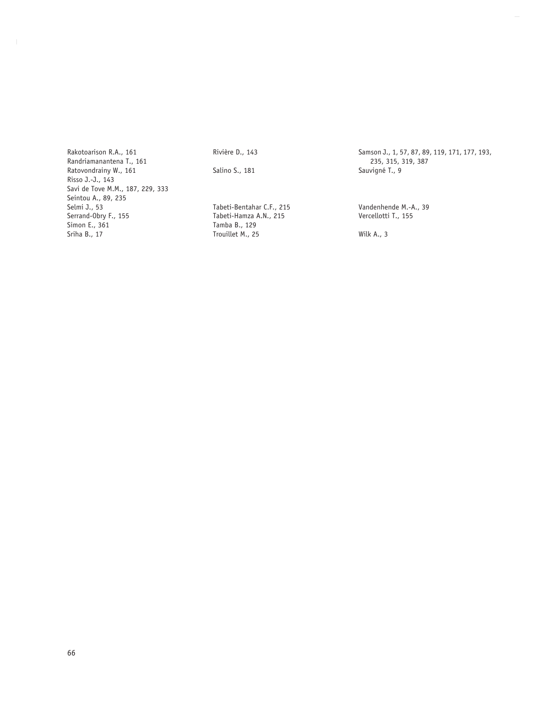Rakotoarison R.A., 161 Randriamanantena T., 161 Ratovondrainy W., 161 Risso J.-J., 143 Savi de Tove M.M., 187, 229, 333 Seintou A., 89, 235 Selmi J., 53 Serrand-Obry F., 155 Simon E., 361 Sriha B., 17

Rivière D., 143

Salino S., 181

Tabeti-Bentahar C.F., 215 Tabeti-Hamza A.N., 215 Tamba B., 129 Trouillet M., 25

Samson J., 1, 57, 87, 89, 119, 171, 177, 193, 235, 315, 319, 387 Sauvigné T., 9

Vandenhende M.-A., 39 Vercellotti T., 155

Wilk A., 3